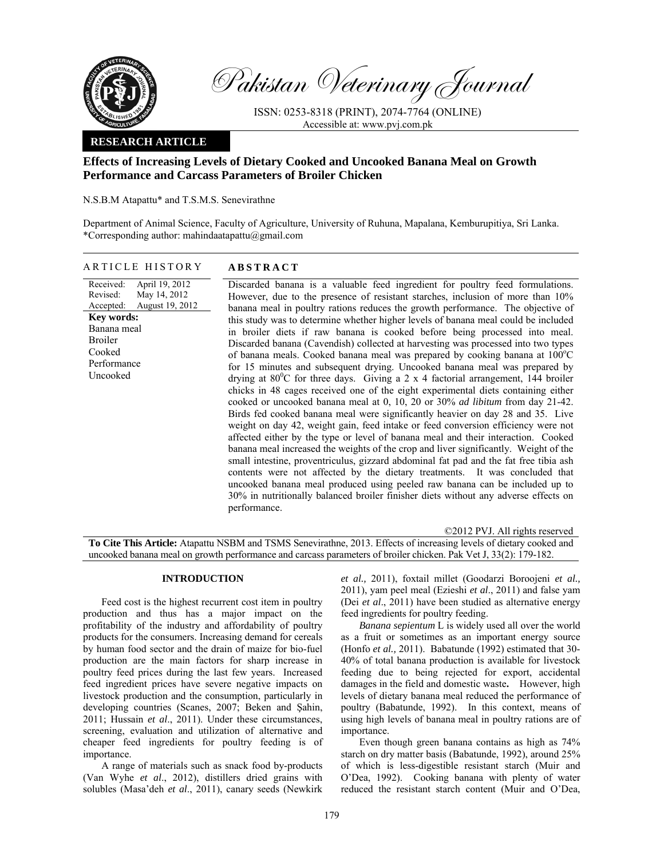

Pakistan Veterinary Journal

ISSN: 0253-8318 (PRINT), 2074-7764 (ONLINE) Accessible at: www.pvj.com.pk

## **RESEARCH ARTICLE**

# **Effects of Increasing Levels of Dietary Cooked and Uncooked Banana Meal on Growth Performance and Carcass Parameters of Broiler Chicken**

N.S.B.M Atapattu\* and T.S.M.S. Senevirathne

Department of Animal Science, Faculty of Agriculture, University of Ruhuna, Mapalana, Kemburupitiya, Sri Lanka. \*Corresponding author: mahindaatapattu@gmail.com

ARTICLE HISTORY **ABSTRACT** 

Received: Revised: Accepted: April 19, 2012 May 14, 2012 August 19, 2012 Discarded banana is a valuable feed ingredient for poultry feed formulations. However, due to the presence of resistant starches, inclusion of more than 10% banana meal in poultry rations reduces the growth performance. The objective of this study was to determine whether higher levels of banana meal could be included in broiler diets if raw banana is cooked before being processed into meal. Discarded banana (Cavendish) collected at harvesting was processed into two types of banana meals. Cooked banana meal was prepared by cooking banana at  $100^{\circ}$ C for 15 minutes and subsequent drying. Uncooked banana meal was prepared by drying at  $80^{\circ}$ C for three days. Giving a 2 x 4 factorial arrangement, 144 broiler chicks in 48 cages received one of the eight experimental diets containing either cooked or uncooked banana meal at 0, 10, 20 or 30% *ad libitum* from day 21-42. Birds fed cooked banana meal were significantly heavier on day 28 and 35. Live weight on day 42, weight gain, feed intake or feed conversion efficiency were not affected either by the type or level of banana meal and their interaction. Cooked banana meal increased the weights of the crop and liver significantly. Weight of the small intestine, proventriculus, gizzard abdominal fat pad and the fat free tibia ash contents were not affected by the dietary treatments. It was concluded that uncooked banana meal produced using peeled raw banana can be included up to 30% in nutritionally balanced broiler finisher diets without any adverse effects on performance. **Key words:**  Banana meal Broiler Cooked Performance Uncooked

©2012 PVJ. All rights reserved **To Cite This Article:** Atapattu NSBM and TSMS Senevirathne, 2013. Effects of increasing levels of dietary cooked and uncooked banana meal on growth performance and carcass parameters of broiler chicken. Pak Vet J, 33(2): 179-182.

## **INTRODUCTION**

Feed cost is the highest recurrent cost item in poultry production and thus has a major impact on the profitability of the industry and affordability of poultry products for the consumers. Increasing demand for cereals by human food sector and the drain of maize for bio-fuel production are the main factors for sharp increase in poultry feed prices during the last few years. Increased feed ingredient prices have severe negative impacts on livestock production and the consumption, particularly in developing countries (Scanes, 2007; Beken and Şahin, 2011; Hussain *et al*., 2011). Under these circumstances, screening, evaluation and utilization of alternative and cheaper feed ingredients for poultry feeding is of importance.

A range of materials such as snack food by-products (Van Wyhe *et al*., 2012), distillers dried grains with solubles (Masa'deh *et al*., 2011), canary seeds (Newkirk

*et al.,* 2011), foxtail millet (Goodarzi Boroojeni *et al.,*  2011), yam peel meal (Ezieshi *et al*., 2011) and false yam (Dei *et al*., 2011) have been studied as alternative energy feed ingredients for poultry feeding.

*Banana sepientum* L is widely used all over the world as a fruit or sometimes as an important energy source (Honfo *et al.,* 2011). Babatunde (1992) estimated that 30- 40% of total banana production is available for livestock feeding due to being rejected for export, accidental damages in the field and domestic waste**.** However, high levels of dietary banana meal reduced the performance of poultry (Babatunde, 1992). In this context, means of using high levels of banana meal in poultry rations are of importance.

Even though green banana contains as high as 74% starch on dry matter basis (Babatunde, 1992), around 25% of which is less-digestible resistant starch (Muir and O'Dea, 1992). Cooking banana with plenty of water reduced the resistant starch content (Muir and O'Dea,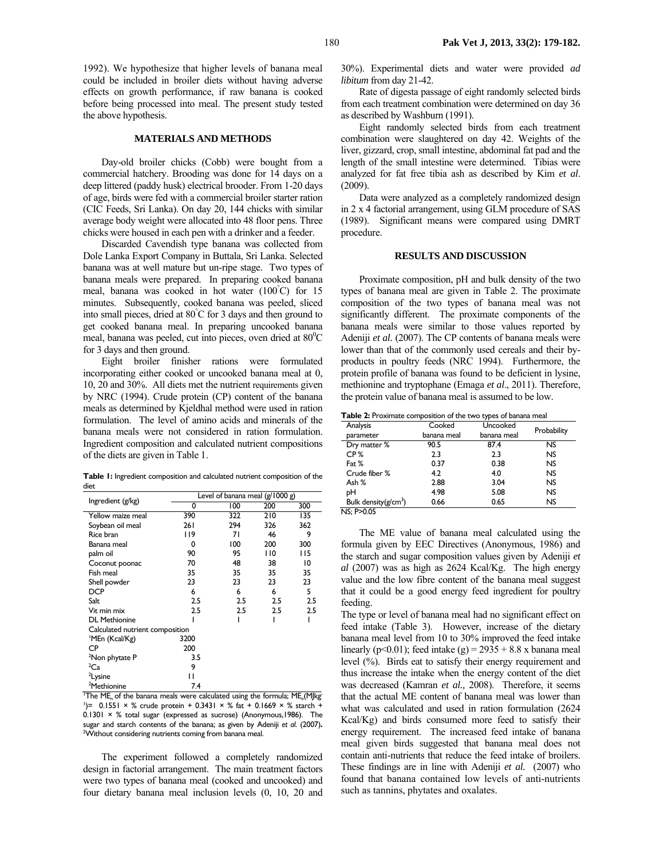1992). We hypothesize that higher levels of banana meal could be included in broiler diets without having adverse effects on growth performance, if raw banana is cooked before being processed into meal. The present study tested the above hypothesis.

### **MATERIALS AND METHODS**

Day-old broiler chicks (Cobb) were bought from a commercial hatchery. Brooding was done for 14 days on a deep littered (paddy husk) electrical brooder. From 1-20 days of age, birds were fed with a commercial broiler starter ration (CIC Feeds, Sri Lanka). On day 20, 144 chicks with similar average body weight were allocated into 48 floor pens. Three chicks were housed in each pen with a drinker and a feeder.

Discarded Cavendish type banana was collected from Dole Lanka Export Company in Buttala, Sri Lanka. Selected banana was at well mature but un-ripe stage. Two types of banana meals were prepared. In preparing cooked banana meal, banana was cooked in hot water (100° C) for 15 minutes. Subsequently, cooked banana was peeled, sliced into small pieces, dried at 80° C for 3 days and then ground to get cooked banana meal. In preparing uncooked banana meal, banana was peeled, cut into pieces, oven dried at  $80^{\circ}$ C for 3 days and then ground.

Eight broiler finisher rations were formulated incorporating either cooked or uncooked banana meal at 0, 10, 20 and 30%. All diets met the nutrient requirements given by NRC (1994). Crude protein (CP) content of the banana meals as determined by Kjeldhal method were used in ration formulation. The level of amino acids and minerals of the banana meals were not considered in ration formulation. Ingredient composition and calculated nutrient compositions of the diets are given in Table 1.

**Table 1:** Ingredient composition and calculated nutrient composition of the diet

| Ingredient (g/kg)               | Level of banana meal (g/1000 g) |     |     |     |  |  |  |  |  |
|---------------------------------|---------------------------------|-----|-----|-----|--|--|--|--|--|
|                                 | 0                               | 100 | 200 | 300 |  |  |  |  |  |
| Yellow maize meal               | 390                             | 322 | 210 | 135 |  |  |  |  |  |
| Soybean oil meal                | 261                             | 294 | 326 | 362 |  |  |  |  |  |
| Rice bran                       | 119                             | 71  | 46  | 9   |  |  |  |  |  |
| Banana meal                     | 0                               | 100 | 200 | 300 |  |  |  |  |  |
| palm oil                        | 90                              | 95  | 110 | 115 |  |  |  |  |  |
| Coconut poonac                  | 70                              | 48  | 38  | 10  |  |  |  |  |  |
| Fish meal                       | 35                              | 35  | 35  | 35  |  |  |  |  |  |
| Shell powder                    | 23                              | 23  | 23  | 23  |  |  |  |  |  |
| <b>DCP</b>                      | 6                               | 6   | 6   | 5   |  |  |  |  |  |
| Salt                            | 2.5                             | 2.5 | 2.5 | 2.5 |  |  |  |  |  |
| Vit min mix                     | 2.5                             | 2.5 | 2.5 | 2.5 |  |  |  |  |  |
| <b>DL</b> Methionine            |                                 |     |     |     |  |  |  |  |  |
| Calculated nutrient composition |                                 |     |     |     |  |  |  |  |  |
| 'MEn (Kcal/Kg)                  | 3200                            |     |     |     |  |  |  |  |  |
| СP                              | 200                             |     |     |     |  |  |  |  |  |
| <sup>2</sup> Non phytate P      | 3.5                             |     |     |     |  |  |  |  |  |
| ${}^{2}Ca$                      | 9                               |     |     |     |  |  |  |  |  |
| <sup>2</sup> Lysine             |                                 |     |     |     |  |  |  |  |  |
| <sup>2</sup> Methionine         | 7.4                             |     |     |     |  |  |  |  |  |

Methionine 7.4 1 The MEn of the banana meals were calculated using the formula; MEn(MJkg- $^{1}$ ) = 0.1551 × % crude protein + 0.3431 × % fat + 0.1669 × % starch +  $0.1301 \times$ % total sugar (expressed as sucrose) (Anonymous, 1986). The sugar and starch contents of the banana; as given by Adeniji *et al*. (2007)**.** <sup>2</sup>Without considering nutrients coming from banana meal.

The experiment followed a completely randomized design in factorial arrangement. The main treatment factors were two types of banana meal (cooked and uncooked) and four dietary banana meal inclusion levels (0, 10, 20 and

30%). Experimental diets and water were provided *ad libitum* from day 21-42.

Rate of digesta passage of eight randomly selected birds from each treatment combination were determined on day 36 as described by Washburn (1991).

Eight randomly selected birds from each treatment combination were slaughtered on day 42. Weights of the liver, gizzard, crop, small intestine, abdominal fat pad and the length of the small intestine were determined. Tibias were analyzed for fat free tibia ash as described by Kim *et al*. (2009).

Data were analyzed as a completely randomized design in 2 x 4 factorial arrangement, using GLM procedure of SAS (1989). Significant means were compared using DMRT procedure.

#### **RESULTS AND DISCUSSION**

Proximate composition, pH and bulk density of the two types of banana meal are given in Table 2. The proximate composition of the two types of banana meal was not significantly different. The proximate components of the banana meals were similar to those values reported by Adeniji *et al.* (2007). The CP contents of banana meals were lower than that of the commonly used cereals and their byproducts in poultry feeds (NRC 1994). Furthermore, the protein profile of banana was found to be deficient in lysine, methionine and tryptophane (Emaga *et al*., 2011). Therefore, the protein value of banana meal is assumed to be low.

**Table 2:** Proximate composition of the two types of banana meal

| Analysis                 | Cooked      | Uncooked    | Probability |  |
|--------------------------|-------------|-------------|-------------|--|
| parameter                | banana meal | banana meal |             |  |
| Dry matter %             | 90.5        | 87.4        | <b>NS</b>   |  |
| CP <sub>%</sub>          | 2.3         | 2.3         | <b>NS</b>   |  |
| Fat %                    | 0.37        | 0.38        | <b>NS</b>   |  |
| Crude fiber %            | 4.2         | 4.0         | <b>NS</b>   |  |
| Ash %                    | 2.88        | 3.04        | <b>NS</b>   |  |
| pН                       | 4.98        | 5.08        | <b>NS</b>   |  |
| Bulk density( $g/cm^3$ ) | 0.66        | 0.65        | <b>NS</b>   |  |
| NS: P > 0.05             |             |             |             |  |

The ME value of banana meal calculated using the formula given by EEC Directives (Anonymous, 1986) and the starch and sugar composition values given by Adeniji *et al* (2007) was as high as 2624 Kcal/Kg. The high energy value and the low fibre content of the banana meal suggest that it could be a good energy feed ingredient for poultry feeding.

The type or level of banana meal had no significant effect on feed intake (Table 3). However, increase of the dietary banana meal level from 10 to 30% improved the feed intake linearly ( $p<0.01$ ); feed intake (g) = 2935 + 8.8 x banana meal level (%). Birds eat to satisfy their energy requirement and thus increase the intake when the energy content of the diet was decreased (Kamran *et al.,* 2008). Therefore, it seems that the actual ME content of banana meal was lower than what was calculated and used in ration formulation (2624 Kcal/Kg) and birds consumed more feed to satisfy their energy requirement. The increased feed intake of banana meal given birds suggested that banana meal does not contain anti-nutrients that reduce the feed intake of broilers. These findings are in line with Adeniji *et al.* (2007) who found that banana contained low levels of anti-nutrients such as tannins, phytates and oxalates.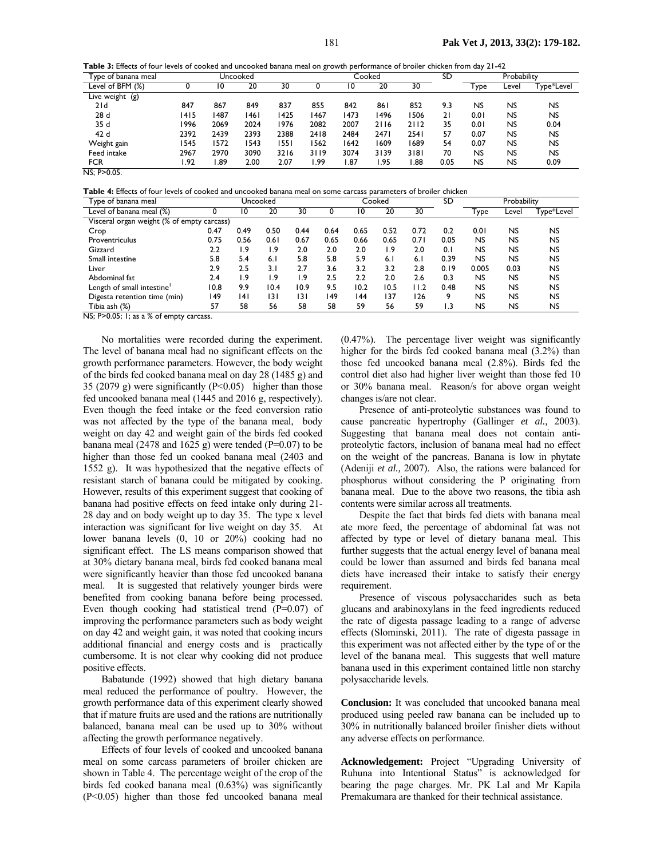**Table 3:** Effects of four levels of cooked and uncooked banana meal on growth performance of broiler chicken from day 21-42

| Type of banana meal | Uncooked |      |      |      |      | Cooked |      |      |      | Probability |                |            |
|---------------------|----------|------|------|------|------|--------|------|------|------|-------------|----------------|------------|
| Level of BFM (%)    |          | 10   | 20   | 30   |      | 10     | 20   | 30   |      | Гуре        | Level          | Type*Level |
| Live weight $(g)$   |          |      |      |      |      |        |      |      |      |             |                |            |
| 21d                 | 847      | 867  | 849  | 837  | 855  | 842    | 861  | 852  | 9.3  | NS          | NS             | NS         |
| 28d                 | 1415     | 1487 | 1461 | 1425 | 1467 | 1473   | 496  | 1506 | 21   | 0.01        | NS             | <b>NS</b>  |
| 35 d                | 1996     | 2069 | 2024 | 1976 | 2082 | 2007   | 2116 | 2112 | 35   | 0.01        | <b>NS</b>      | 0.04       |
| 42 d                | 2392     | 2439 | 2393 | 2388 | 2418 | 2484   | 2471 | 2541 | 57   | 0.07        | N <sub>S</sub> | <b>NS</b>  |
| Weight gain         | 1545     | 1572 | 1543 | 1551 | 1562 | 642    | 609  | 1689 | 54   | 0.07        | <b>NS</b>      | <b>NS</b>  |
| Feed intake         | 2967     | 2970 | 3090 | 3216 | 3119 | 3074   | 3139 | 3181 | 70   | <b>NS</b>   | <b>NS</b>      | <b>NS</b>  |
| <b>FCR</b><br>.     | .92      | .89  | 2.00 | 2.07 | 1.99 | 1.87   | l.95 | 88.  | 0.05 | <b>NS</b>   | <b>NS</b>      | 0.09       |

NS: P>0.05.

**Table 4:** Effects of four levels of cooked and uncooked banana meal on some carcass parameters of broiler chicken

| Type of banana meal                        | Uncooked |      |                  |      | Cooked |      |      |      | SD   | Probability |           |            |
|--------------------------------------------|----------|------|------------------|------|--------|------|------|------|------|-------------|-----------|------------|
| Level of banana meal (%)                   |          | 10   | 20               | 30   |        | 10   | 20   | 30   |      | Туре        | Level     | Type*Level |
| Visceral organ weight (% of empty carcass) |          |      |                  |      |        |      |      |      |      |             |           |            |
| Crop                                       | 0.47     | 0.49 | 0.50             | 0.44 | 0.64   | 0.65 | 0.52 | 0.72 | 0.2  | 0.01        | <b>NS</b> | <b>NS</b>  |
| Proventriculus                             | 0.75     | 0.56 | 0.6 <sub>1</sub> | 0.67 | 0.65   | 0.66 | 0.65 | 0.71 | 0.05 | <b>NS</b>   | <b>NS</b> | <b>NS</b>  |
| Gizzard                                    | 2.2      | 1.9  | 1.9              | 2.0  | 2.0    | 2.0  | ۱.9  | 2.0  | 0.1  | NS          | <b>NS</b> | <b>NS</b>  |
| Small intestine                            | 5.8      | 5.4  | 6.1              | 5.8  | 5.8    | 5.9  | 6.1  | 6.1  | 0.39 | <b>NS</b>   | <b>NS</b> | <b>NS</b>  |
| Liver                                      | 2.9      | 2.5  | 3.1              | 2.7  | 3.6    | 3.2  | 3.2  | 2.8  | 0.19 | 0.005       | 0.03      | NS.        |
| Abdominal fat                              | 2.4      | 1.9  | 1.9              | ۱.9  | 2.5    | 2.2  | 2.0  | 2.6  | 0.3  | <b>NS</b>   | <b>NS</b> | <b>NS</b>  |
| Length of small intestine <sup>1</sup>     | 10.8     | 9.9  | 10.4             | 10.9 | 9.5    | 10.2 | 10.5 | 11.2 | 0.48 | <b>NS</b>   | <b>NS</b> | NS.        |
| Digesta retention time (min)               | 149      | 141  | 131              | 3    | 149    | 144  | 137  | 126  | 9    | <b>NS</b>   | <b>NS</b> | <b>NS</b>  |
| Tibia ash (%)                              | 57       | 58   | 56               | 58   | 58     | 59   | 56   | 59   | 1.3  | <b>NS</b>   | <b>NS</b> | NS         |

NS; P>0.05; 1; as a % of empty carcass.

No mortalities were recorded during the experiment. The level of banana meal had no significant effects on the growth performance parameters. However, the body weight of the birds fed cooked banana meal on day 28 (1485 g) and 35 (2079 g) were significantly  $(P<0.05)$  higher than those fed uncooked banana meal (1445 and 2016 g, respectively). Even though the feed intake or the feed conversion ratio was not affected by the type of the banana meal, body weight on day 42 and weight gain of the birds fed cooked banana meal (2478 and 1625 g) were tended ( $P=0.07$ ) to be higher than those fed un cooked banana meal (2403 and 1552 g). It was hypothesized that the negative effects of resistant starch of banana could be mitigated by cooking. However, results of this experiment suggest that cooking of banana had positive effects on feed intake only during 21- 28 day and on body weight up to day 35. The type x level interaction was significant for live weight on day 35. At lower banana levels (0, 10 or 20%) cooking had no significant effect. The LS means comparison showed that at 30% dietary banana meal, birds fed cooked banana meal were significantly heavier than those fed uncooked banana meal. It is suggested that relatively younger birds were benefited from cooking banana before being processed. Even though cooking had statistical trend (P=0.07) of improving the performance parameters such as body weight on day 42 and weight gain, it was noted that cooking incurs additional financial and energy costs and is practically cumbersome. It is not clear why cooking did not produce positive effects.

Babatunde (1992) showed that high dietary banana meal reduced the performance of poultry. However, the growth performance data of this experiment clearly showed that if mature fruits are used and the rations are nutritionally balanced, banana meal can be used up to 30% without affecting the growth performance negatively.

Effects of four levels of cooked and uncooked banana meal on some carcass parameters of broiler chicken are shown in Table 4. The percentage weight of the crop of the birds fed cooked banana meal (0.63%) was significantly (P<0.05) higher than those fed uncooked banana meal

(0.47%). The percentage liver weight was significantly higher for the birds fed cooked banana meal  $(3.2\%)$  than those fed uncooked banana meal (2.8%). Birds fed the control diet also had higher liver weight than those fed 10 or 30% banana meal. Reason/s for above organ weight changes is/are not clear.

Presence of anti-proteolytic substances was found to cause pancreatic hypertrophy (Gallinger *et al.,* 2003). Suggesting that banana meal does not contain antiproteolytic factors, inclusion of banana meal had no effect on the weight of the pancreas. Banana is low in phytate (Adeniji *et al.,* 2007). Also, the rations were balanced for phosphorus without considering the P originating from banana meal. Due to the above two reasons, the tibia ash contents were similar across all treatments.

Despite the fact that birds fed diets with banana meal ate more feed, the percentage of abdominal fat was not affected by type or level of dietary banana meal. This further suggests that the actual energy level of banana meal could be lower than assumed and birds fed banana meal diets have increased their intake to satisfy their energy requirement.

Presence of viscous polysaccharides such as beta glucans and arabinoxylans in the feed ingredients reduced the rate of digesta passage leading to a range of adverse effects (Slominski, 2011). The rate of digesta passage in this experiment was not affected either by the type of or the level of the banana meal. This suggests that well mature banana used in this experiment contained little non starchy polysaccharide levels.

**Conclusion:** It was concluded that uncooked banana meal produced using peeled raw banana can be included up to 30% in nutritionally balanced broiler finisher diets without any adverse effects on performance.

**Acknowledgement:** Project "Upgrading University of Ruhuna into Intentional Status" is acknowledged for bearing the page charges. Mr. PK Lal and Mr Kapila Premakumara are thanked for their technical assistance.